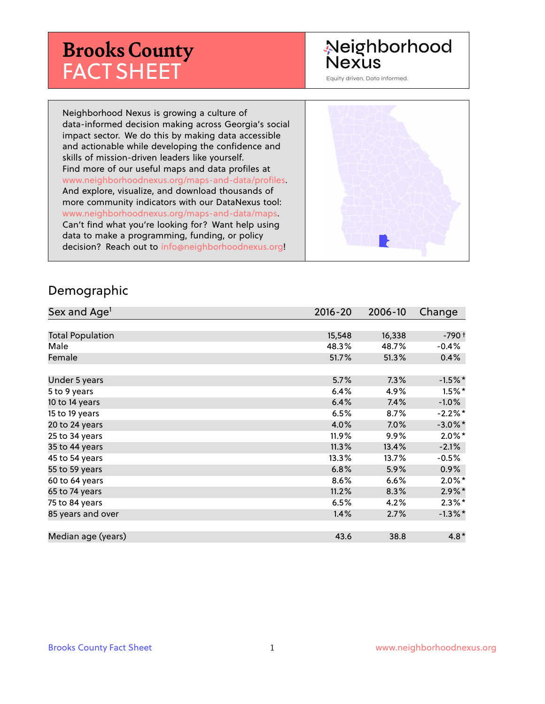# **Brooks County** FACT SHEET

# Neighborhood Nexus

Equity driven. Data informed.

Neighborhood Nexus is growing a culture of data-informed decision making across Georgia's social impact sector. We do this by making data accessible and actionable while developing the confidence and skills of mission-driven leaders like yourself. Find more of our useful maps and data profiles at www.neighborhoodnexus.org/maps-and-data/profiles. And explore, visualize, and download thousands of more community indicators with our DataNexus tool: www.neighborhoodnexus.org/maps-and-data/maps. Can't find what you're looking for? Want help using data to make a programming, funding, or policy decision? Reach out to [info@neighborhoodnexus.org!](mailto:info@neighborhoodnexus.org)



#### Demographic

| Sex and Age <sup>1</sup> | $2016 - 20$ | 2006-10 | Change     |
|--------------------------|-------------|---------|------------|
|                          |             |         |            |
| <b>Total Population</b>  | 15,548      | 16,338  | $-790+$    |
| Male                     | 48.3%       | 48.7%   | $-0.4%$    |
| Female                   | 51.7%       | 51.3%   | 0.4%       |
|                          |             |         |            |
| Under 5 years            | 5.7%        | 7.3%    | $-1.5%$ *  |
| 5 to 9 years             | 6.4%        | 4.9%    | $1.5\%$ *  |
| 10 to 14 years           | 6.4%        | 7.4%    | $-1.0\%$   |
| 15 to 19 years           | 6.5%        | 8.7%    | $-2.2%$ *  |
| 20 to 24 years           | 4.0%        | 7.0%    | $-3.0\%$ * |
| 25 to 34 years           | 11.9%       | 9.9%    | $2.0\%$ *  |
| 35 to 44 years           | 11.3%       | 13.4%   | $-2.1%$    |
| 45 to 54 years           | 13.3%       | 13.7%   | $-0.5%$    |
| 55 to 59 years           | 6.8%        | 5.9%    | 0.9%       |
| 60 to 64 years           | 8.6%        | 6.6%    | $2.0\%$ *  |
| 65 to 74 years           | 11.2%       | 8.3%    | $2.9\%*$   |
| 75 to 84 years           | 6.5%        | 4.2%    | $2.3\%$ *  |
| 85 years and over        | 1.4%        | 2.7%    | $-1.3\%$ * |
|                          |             |         |            |
| Median age (years)       | 43.6        | 38.8    | $4.8*$     |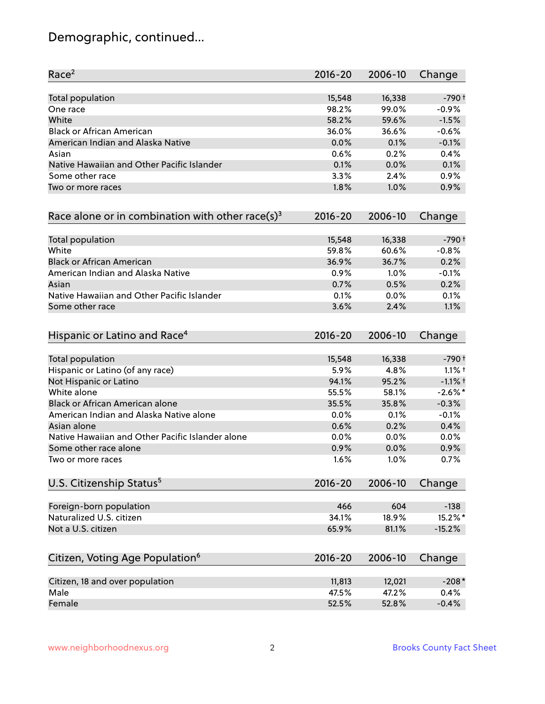# Demographic, continued...

| Race <sup>2</sup>                                            | 2016-20     | 2006-10 | Change     |
|--------------------------------------------------------------|-------------|---------|------------|
| <b>Total population</b>                                      | 15,548      | 16,338  | $-790+$    |
| One race                                                     | 98.2%       | 99.0%   | $-0.9%$    |
| White                                                        | 58.2%       | 59.6%   | $-1.5%$    |
| <b>Black or African American</b>                             | 36.0%       | 36.6%   | $-0.6%$    |
| American Indian and Alaska Native                            | 0.0%        | 0.1%    | $-0.1%$    |
| Asian                                                        | 0.6%        | 0.2%    | 0.4%       |
| Native Hawaiian and Other Pacific Islander                   | 0.1%        | 0.0%    | 0.1%       |
| Some other race                                              | 3.3%        | 2.4%    | 0.9%       |
| Two or more races                                            | 1.8%        | 1.0%    | 0.9%       |
| Race alone or in combination with other race(s) <sup>3</sup> | $2016 - 20$ | 2006-10 | Change     |
| Total population                                             | 15,548      | 16,338  | $-790+$    |
| White                                                        | 59.8%       | 60.6%   | $-0.8%$    |
| <b>Black or African American</b>                             | 36.9%       | 36.7%   | 0.2%       |
| American Indian and Alaska Native                            | 0.9%        | 1.0%    | $-0.1%$    |
| Asian                                                        | 0.7%        | 0.5%    | 0.2%       |
| Native Hawaiian and Other Pacific Islander                   | 0.1%        | 0.0%    | 0.1%       |
| Some other race                                              | 3.6%        | 2.4%    | 1.1%       |
| Hispanic or Latino and Race <sup>4</sup>                     | $2016 - 20$ | 2006-10 | Change     |
| <b>Total population</b>                                      | 15,548      | 16,338  | $-790+$    |
| Hispanic or Latino (of any race)                             | 5.9%        | 4.8%    | $1.1%$ †   |
| Not Hispanic or Latino                                       | 94.1%       | 95.2%   | $-1.1%$ †  |
| White alone                                                  | 55.5%       | 58.1%   | $-2.6\%$ * |
| <b>Black or African American alone</b>                       | 35.5%       | 35.8%   | $-0.3%$    |
| American Indian and Alaska Native alone                      | 0.0%        | 0.1%    | $-0.1%$    |
| Asian alone                                                  | 0.6%        | 0.2%    | 0.4%       |
| Native Hawaiian and Other Pacific Islander alone             | 0.0%        | 0.0%    | 0.0%       |
| Some other race alone                                        | 0.9%        | 0.0%    | 0.9%       |
| Two or more races                                            | 1.6%        | 1.0%    | 0.7%       |
| U.S. Citizenship Status <sup>5</sup>                         | $2016 - 20$ | 2006-10 | Change     |
| Foreign-born population                                      | 466         | 604     | $-138$     |
| Naturalized U.S. citizen                                     | 34.1%       | 18.9%   | 15.2%*     |
| Not a U.S. citizen                                           | 65.9%       | 81.1%   | $-15.2%$   |
| Citizen, Voting Age Population <sup>6</sup>                  | $2016 - 20$ | 2006-10 | Change     |
|                                                              |             |         |            |
| Citizen, 18 and over population                              | 11,813      | 12,021  | $-208*$    |
| Male                                                         | 47.5%       | 47.2%   | 0.4%       |
| Female                                                       | 52.5%       | 52.8%   | $-0.4%$    |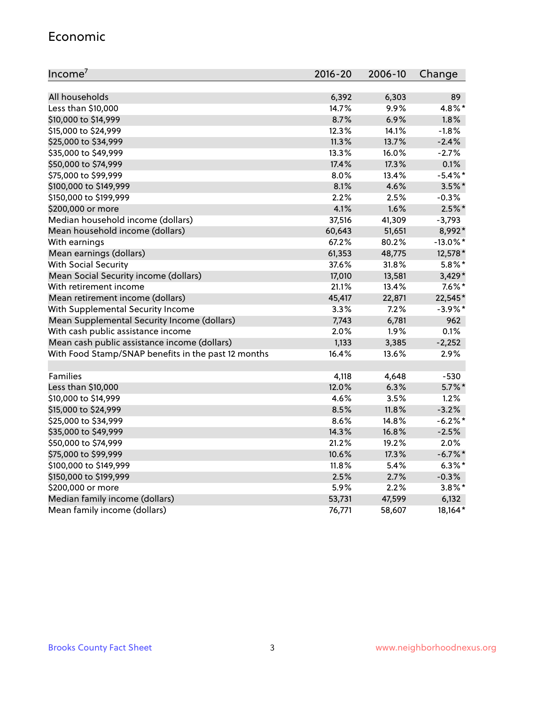#### Economic

| Income <sup>7</sup>                                 | $2016 - 20$ | 2006-10 | Change      |
|-----------------------------------------------------|-------------|---------|-------------|
|                                                     |             |         |             |
| All households                                      | 6,392       | 6,303   | 89          |
| Less than \$10,000                                  | 14.7%       | 9.9%    | 4.8%*       |
| \$10,000 to \$14,999                                | 8.7%        | 6.9%    | 1.8%        |
| \$15,000 to \$24,999                                | 12.3%       | 14.1%   | $-1.8%$     |
| \$25,000 to \$34,999                                | 11.3%       | 13.7%   | $-2.4%$     |
| \$35,000 to \$49,999                                | 13.3%       | 16.0%   | $-2.7%$     |
| \$50,000 to \$74,999                                | 17.4%       | 17.3%   | 0.1%        |
| \$75,000 to \$99,999                                | 8.0%        | 13.4%   | $-5.4\%$ *  |
| \$100,000 to \$149,999                              | 8.1%        | 4.6%    | $3.5%$ *    |
| \$150,000 to \$199,999                              | 2.2%        | 2.5%    | $-0.3%$     |
| \$200,000 or more                                   | 4.1%        | 1.6%    | $2.5\%$ *   |
| Median household income (dollars)                   | 37,516      | 41,309  | $-3,793$    |
| Mean household income (dollars)                     | 60,643      | 51,651  | 8,992*      |
| With earnings                                       | 67.2%       | 80.2%   | $-13.0\%$ * |
| Mean earnings (dollars)                             | 61,353      | 48,775  | 12,578 *    |
| <b>With Social Security</b>                         | 37.6%       | 31.8%   | $5.8\%$ *   |
| Mean Social Security income (dollars)               | 17,010      | 13,581  | $3,429*$    |
| With retirement income                              | 21.1%       | 13.4%   | $7.6\%$ *   |
| Mean retirement income (dollars)                    | 45,417      | 22,871  | 22,545*     |
| With Supplemental Security Income                   | $3.3\%$     | $7.2\%$ | $-3.9\%$ *  |
| Mean Supplemental Security Income (dollars)         | 7,743       | 6,781   | 962         |
| With cash public assistance income                  | 2.0%        | 1.9%    | 0.1%        |
| Mean cash public assistance income (dollars)        | 1,133       | 3,385   | $-2,252$    |
| With Food Stamp/SNAP benefits in the past 12 months | 16.4%       | 13.6%   | 2.9%        |
|                                                     |             |         |             |
| Families                                            | 4,118       | 4,648   | $-530$      |
| Less than \$10,000                                  | 12.0%       | 6.3%    | $5.7\%$ *   |
| \$10,000 to \$14,999                                | 4.6%        | 3.5%    | 1.2%        |
| \$15,000 to \$24,999                                | 8.5%        | 11.8%   | $-3.2%$     |
| \$25,000 to \$34,999                                | 8.6%        | 14.8%   | $-6.2\%$ *  |
| \$35,000 to \$49,999                                | 14.3%       | 16.8%   | $-2.5%$     |
| \$50,000 to \$74,999                                | 21.2%       | 19.2%   | 2.0%        |
| \$75,000 to \$99,999                                | 10.6%       | 17.3%   | $-6.7\%$ *  |
| \$100,000 to \$149,999                              | $11.8\%$    | 5.4%    | $6.3\%$ *   |
| \$150,000 to \$199,999                              | 2.5%        | 2.7%    | $-0.3%$     |
| \$200,000 or more                                   | 5.9%        | 2.2%    | $3.8\%$ *   |
| Median family income (dollars)                      | 53,731      | 47,599  | 6,132       |
| Mean family income (dollars)                        | 76,771      | 58,607  | 18,164*     |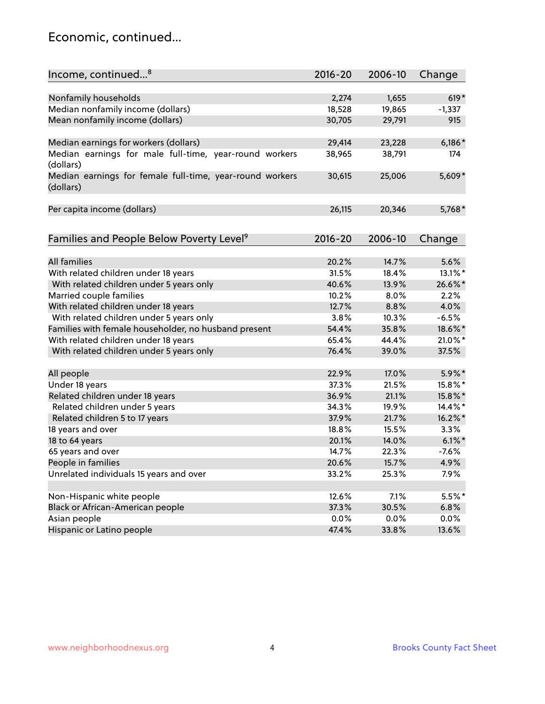### Economic, continued...

| Income, continued <sup>8</sup>                           | $2016 - 20$ | 2006-10 | Change    |
|----------------------------------------------------------|-------------|---------|-----------|
|                                                          |             |         |           |
| Nonfamily households                                     | 2,274       | 1,655   | $619*$    |
| Median nonfamily income (dollars)                        | 18,528      | 19,865  | $-1,337$  |
| Mean nonfamily income (dollars)                          | 30,705      | 29,791  | 915       |
|                                                          |             |         |           |
| Median earnings for workers (dollars)                    | 29,414      | 23,228  | $6,186*$  |
| Median earnings for male full-time, year-round workers   | 38,965      | 38,791  | 174       |
| (dollars)                                                |             |         |           |
| Median earnings for female full-time, year-round workers | 30,615      | 25,006  | 5,609*    |
| (dollars)                                                |             |         |           |
|                                                          |             |         |           |
| Per capita income (dollars)                              | 26,115      | 20,346  | 5,768*    |
|                                                          |             |         |           |
|                                                          |             |         |           |
| Families and People Below Poverty Level <sup>9</sup>     | $2016 - 20$ | 2006-10 | Change    |
|                                                          |             |         |           |
| <b>All families</b>                                      | 20.2%       | 14.7%   | 5.6%      |
| With related children under 18 years                     | 31.5%       | 18.4%   | 13.1%*    |
| With related children under 5 years only                 | 40.6%       | 13.9%   | 26.6%*    |
| Married couple families                                  | 10.2%       | 8.0%    | 2.2%      |
| With related children under 18 years                     | 12.7%       | 8.8%    | 4.0%      |
| With related children under 5 years only                 | 3.8%        | 10.3%   | $-6.5%$   |
| Families with female householder, no husband present     | 54.4%       | 35.8%   | 18.6%*    |
| With related children under 18 years                     | 65.4%       | 44.4%   | 21.0%*    |
| With related children under 5 years only                 | 76.4%       | 39.0%   | 37.5%     |
|                                                          |             |         |           |
| All people                                               | 22.9%       | 17.0%   | 5.9%*     |
| Under 18 years                                           | 37.3%       | 21.5%   | 15.8%*    |
| Related children under 18 years                          | 36.9%       | 21.1%   | 15.8%*    |
| Related children under 5 years                           | 34.3%       | 19.9%   | 14.4%*    |
| Related children 5 to 17 years                           | 37.9%       | 21.7%   | 16.2%*    |
| 18 years and over                                        | 18.8%       | 15.5%   | 3.3%      |
| 18 to 64 years                                           | 20.1%       | 14.0%   | $6.1\%$ * |
| 65 years and over                                        | 14.7%       | 22.3%   | $-7.6%$   |
| People in families                                       | 20.6%       | 15.7%   | 4.9%      |
| Unrelated individuals 15 years and over                  | 33.2%       | 25.3%   | 7.9%      |
|                                                          |             |         |           |
| Non-Hispanic white people                                | 12.6%       | 7.1%    | 5.5%*     |
| Black or African-American people                         | 37.3%       | 30.5%   | 6.8%      |
| Asian people                                             | 0.0%        | 0.0%    | 0.0%      |
| Hispanic or Latino people                                | 47.4%       | 33.8%   | 13.6%     |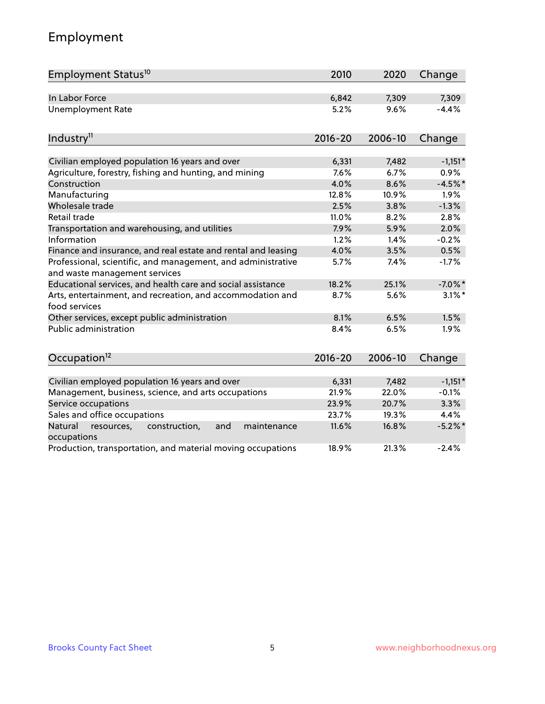# Employment

| Employment Status <sup>10</sup>                                                               | 2010        | 2020    | Change     |
|-----------------------------------------------------------------------------------------------|-------------|---------|------------|
| In Labor Force                                                                                | 6,842       | 7,309   | 7,309      |
| <b>Unemployment Rate</b>                                                                      | 5.2%        | 9.6%    | $-4.4%$    |
| Industry <sup>11</sup>                                                                        | $2016 - 20$ | 2006-10 | Change     |
| Civilian employed population 16 years and over                                                | 6,331       | 7,482   | $-1,151*$  |
| Agriculture, forestry, fishing and hunting, and mining                                        | 7.6%        | 6.7%    | 0.9%       |
| Construction                                                                                  | 4.0%        | 8.6%    | $-4.5%$ *  |
| Manufacturing                                                                                 | 12.8%       | 10.9%   | 1.9%       |
| Wholesale trade                                                                               | 2.5%        | 3.8%    | $-1.3%$    |
| Retail trade                                                                                  | 11.0%       | 8.2%    | 2.8%       |
| Transportation and warehousing, and utilities                                                 | 7.9%        | 5.9%    | 2.0%       |
| Information                                                                                   | 1.2%        | 1.4%    | $-0.2%$    |
| Finance and insurance, and real estate and rental and leasing                                 | 4.0%        | 3.5%    | 0.5%       |
| Professional, scientific, and management, and administrative<br>and waste management services | 5.7%        | 7.4%    | $-1.7%$    |
| Educational services, and health care and social assistance                                   | 18.2%       | 25.1%   | $-7.0\%$ * |
| Arts, entertainment, and recreation, and accommodation and<br>food services                   | 8.7%        | 5.6%    | $3.1\%$ *  |
| Other services, except public administration                                                  | 8.1%        | 6.5%    | 1.5%       |
| <b>Public administration</b>                                                                  | 8.4%        | 6.5%    | 1.9%       |
| Occupation <sup>12</sup>                                                                      | $2016 - 20$ | 2006-10 | Change     |
|                                                                                               |             |         |            |
| Civilian employed population 16 years and over                                                | 6,331       | 7,482   | $-1,151*$  |
| Management, business, science, and arts occupations                                           | 21.9%       | 22.0%   | $-0.1%$    |
| Service occupations                                                                           | 23.9%       | 20.7%   | 3.3%       |
| Sales and office occupations                                                                  | 23.7%       | 19.3%   | 4.4%       |
| Natural<br>resources,<br>construction,<br>and<br>maintenance<br>occupations                   | 11.6%       | 16.8%   | $-5.2\%$ * |
| Production, transportation, and material moving occupations                                   | 18.9%       | 21.3%   | $-2.4%$    |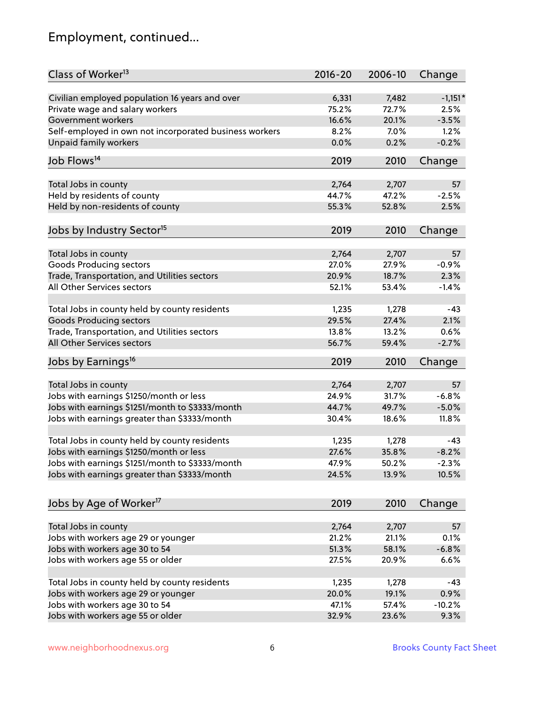# Employment, continued...

| Class of Worker <sup>13</sup>                          | $2016 - 20$ | 2006-10 | Change    |
|--------------------------------------------------------|-------------|---------|-----------|
| Civilian employed population 16 years and over         | 6,331       | 7,482   | $-1,151*$ |
| Private wage and salary workers                        | 75.2%       | 72.7%   | 2.5%      |
| Government workers                                     | 16.6%       | 20.1%   | $-3.5%$   |
| Self-employed in own not incorporated business workers | 8.2%        | 7.0%    | 1.2%      |
| <b>Unpaid family workers</b>                           | 0.0%        | 0.2%    | $-0.2%$   |
| Job Flows <sup>14</sup>                                | 2019        | 2010    | Change    |
|                                                        |             |         |           |
| Total Jobs in county                                   | 2,764       | 2,707   | 57        |
| Held by residents of county                            | 44.7%       | 47.2%   | $-2.5%$   |
| Held by non-residents of county                        | 55.3%       | 52.8%   | 2.5%      |
| Jobs by Industry Sector <sup>15</sup>                  | 2019        | 2010    | Change    |
| Total Jobs in county                                   | 2,764       | 2,707   | 57        |
| <b>Goods Producing sectors</b>                         | 27.0%       | 27.9%   | $-0.9%$   |
| Trade, Transportation, and Utilities sectors           | 20.9%       | 18.7%   | 2.3%      |
| All Other Services sectors                             | 52.1%       | 53.4%   | $-1.4%$   |
|                                                        |             |         |           |
| Total Jobs in county held by county residents          | 1,235       | 1,278   | $-43$     |
| <b>Goods Producing sectors</b>                         | 29.5%       | 27.4%   | 2.1%      |
| Trade, Transportation, and Utilities sectors           | 13.8%       | 13.2%   | 0.6%      |
| All Other Services sectors                             | 56.7%       | 59.4%   | $-2.7%$   |
| Jobs by Earnings <sup>16</sup>                         | 2019        | 2010    | Change    |
|                                                        |             |         |           |
| Total Jobs in county                                   | 2,764       | 2,707   | 57        |
| Jobs with earnings \$1250/month or less                | 24.9%       | 31.7%   | $-6.8%$   |
| Jobs with earnings \$1251/month to \$3333/month        | 44.7%       | 49.7%   | $-5.0%$   |
| Jobs with earnings greater than \$3333/month           | 30.4%       | 18.6%   | 11.8%     |
| Total Jobs in county held by county residents          | 1,235       | 1,278   | $-43$     |
| Jobs with earnings \$1250/month or less                | 27.6%       | 35.8%   | $-8.2%$   |
| Jobs with earnings \$1251/month to \$3333/month        | 47.9%       | 50.2%   | $-2.3\%$  |
| Jobs with earnings greater than \$3333/month           | 24.5%       | 13.9%   | 10.5%     |
| Jobs by Age of Worker <sup>17</sup>                    | 2019        | 2010    | Change    |
|                                                        |             |         |           |
| Total Jobs in county                                   | 2,764       | 2,707   | 57        |
| Jobs with workers age 29 or younger                    | 21.2%       | 21.1%   | 0.1%      |
| Jobs with workers age 30 to 54                         | 51.3%       | 58.1%   | $-6.8%$   |
| Jobs with workers age 55 or older                      | 27.5%       | 20.9%   | 6.6%      |
|                                                        |             |         |           |
| Total Jobs in county held by county residents          | 1,235       | 1,278   | $-43$     |
| Jobs with workers age 29 or younger                    | 20.0%       | 19.1%   | 0.9%      |
| Jobs with workers age 30 to 54                         | 47.1%       | 57.4%   | $-10.2%$  |
| Jobs with workers age 55 or older                      | 32.9%       | 23.6%   | 9.3%      |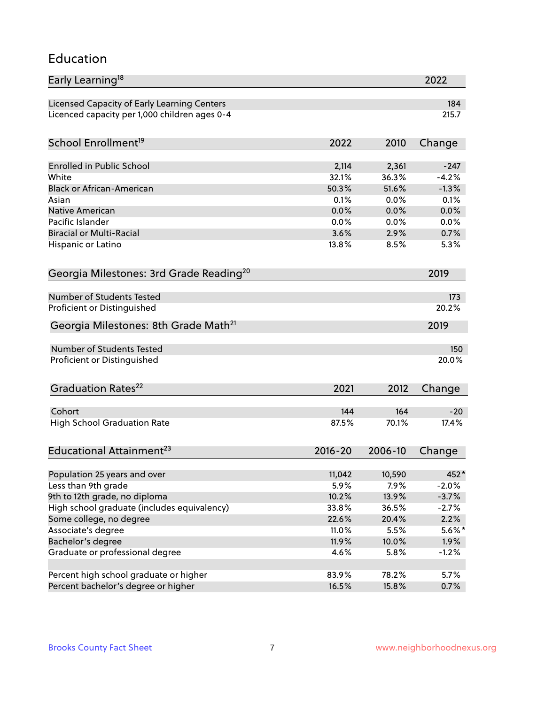#### Education

| Early Learning <sup>18</sup>                        |             |         | 2022     |
|-----------------------------------------------------|-------------|---------|----------|
| Licensed Capacity of Early Learning Centers         |             |         | 184      |
| Licenced capacity per 1,000 children ages 0-4       |             |         | 215.7    |
| School Enrollment <sup>19</sup>                     | 2022        | 2010    | Change   |
|                                                     |             |         |          |
| <b>Enrolled in Public School</b>                    | 2,114       | 2,361   | $-247$   |
| White                                               | 32.1%       | 36.3%   | $-4.2%$  |
| <b>Black or African-American</b>                    | 50.3%       | 51.6%   | $-1.3%$  |
| Asian                                               | 0.1%        | 0.0%    | 0.1%     |
| Native American                                     | 0.0%        | 0.0%    | 0.0%     |
| Pacific Islander                                    | 0.0%        | 0.0%    | 0.0%     |
| <b>Biracial or Multi-Racial</b>                     | 3.6%        | 2.9%    | 0.7%     |
| Hispanic or Latino                                  | 13.8%       | 8.5%    | 5.3%     |
| Georgia Milestones: 3rd Grade Reading <sup>20</sup> |             |         | 2019     |
|                                                     |             |         |          |
| <b>Number of Students Tested</b>                    |             |         | 173      |
| Proficient or Distinguished                         |             |         | 20.2%    |
| Georgia Milestones: 8th Grade Math <sup>21</sup>    |             |         | 2019     |
| <b>Number of Students Tested</b>                    |             |         | 150      |
| Proficient or Distinguished                         |             |         | 20.0%    |
| Graduation Rates <sup>22</sup>                      | 2021        | 2012    | Change   |
|                                                     |             |         |          |
| Cohort                                              | 144         | 164     | $-20$    |
| <b>High School Graduation Rate</b>                  | 87.5%       | 70.1%   | 17.4%    |
| Educational Attainment <sup>23</sup>                | $2016 - 20$ | 2006-10 | Change   |
|                                                     |             |         |          |
| Population 25 years and over                        | 11,042      | 10,590  | 452*     |
| Less than 9th grade                                 | 5.9%        | 7.9%    | $-2.0%$  |
| 9th to 12th grade, no diploma                       | 10.2%       | 13.9%   | $-3.7%$  |
| High school graduate (includes equivalency)         | 33.8%       | 36.5%   | $-2.7%$  |
| Some college, no degree                             | 22.6%       | 20.4%   | 2.2%     |
| Associate's degree                                  | 11.0%       | 5.5%    | $5.6\%*$ |
| Bachelor's degree                                   | 11.9%       | 10.0%   | 1.9%     |
| Graduate or professional degree                     | 4.6%        | 5.8%    | $-1.2%$  |
| Percent high school graduate or higher              | 83.9%       | 78.2%   | 5.7%     |
| Percent bachelor's degree or higher                 | 16.5%       | 15.8%   | 0.7%     |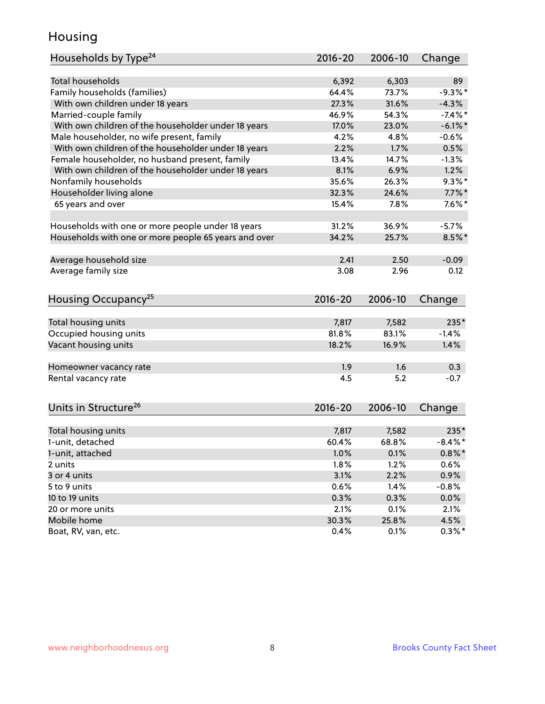### Housing

| Households by Type <sup>24</sup>                     | 2016-20        | 2006-10        | Change     |
|------------------------------------------------------|----------------|----------------|------------|
|                                                      |                |                |            |
| <b>Total households</b>                              | 6,392          | 6,303          | 89         |
| Family households (families)                         | 64.4%          | 73.7%          | $-9.3%$    |
| With own children under 18 years                     | 27.3%          | 31.6%          | $-4.3%$    |
| Married-couple family                                | 46.9%          | 54.3%          | $-7.4%$ *  |
| With own children of the householder under 18 years  | 17.0%          | 23.0%          | $-6.1\%$ * |
| Male householder, no wife present, family            | 4.2%           | 4.8%           | $-0.6%$    |
| With own children of the householder under 18 years  | 2.2%           | 1.7%           | 0.5%       |
| Female householder, no husband present, family       | 13.4%          | 14.7%          | $-1.3%$    |
| With own children of the householder under 18 years  | 8.1%           | 6.9%           | 1.2%       |
| Nonfamily households                                 | 35.6%          | 26.3%          | $9.3\%$ *  |
| Householder living alone                             | 32.3%          | 24.6%          | $7.7\%$ *  |
| 65 years and over                                    | 15.4%          | 7.8%           | $7.6\%$ *  |
|                                                      |                |                |            |
| Households with one or more people under 18 years    | 31.2%          | 36.9%          | $-5.7%$    |
| Households with one or more people 65 years and over | 34.2%          | 25.7%          | $8.5\%$ *  |
| Average household size                               | 2.41           | 2.50           | $-0.09$    |
| Average family size                                  | 3.08           | 2.96           | 0.12       |
|                                                      |                |                |            |
| Housing Occupancy <sup>25</sup>                      | $2016 - 20$    | 2006-10        | Change     |
|                                                      |                |                | 235*       |
| Total housing units                                  | 7,817<br>81.8% | 7,582<br>83.1% | $-1.4%$    |
| Occupied housing units<br>Vacant housing units       | 18.2%          | 16.9%          | 1.4%       |
|                                                      |                |                |            |
| Homeowner vacancy rate                               | 1.9            | 1.6            | 0.3        |
| Rental vacancy rate                                  | 4.5            | 5.2            | $-0.7$     |
|                                                      |                |                |            |
| Units in Structure <sup>26</sup>                     | 2016-20        | 2006-10        | Change     |
| Total housing units                                  | 7,817          | 7,582          | 235*       |
| 1-unit, detached                                     | 60.4%          | 68.8%          | $-8.4\%$ * |
| 1-unit, attached                                     | 1.0%           | 0.1%           | $0.8\%$ *  |
| 2 units                                              | 1.8%           | 1.2%           | 0.6%       |
| 3 or 4 units                                         | 3.1%           | 2.2%           | 0.9%       |
|                                                      |                |                |            |
| 5 to 9 units                                         | 0.6%           | 1.4%           | $-0.8%$    |
| 10 to 19 units                                       | 0.3%           | 0.3%           | 0.0%       |
| 20 or more units                                     | 2.1%           | 0.1%           | 2.1%       |
| Mobile home                                          | 30.3%          | 25.8%          | 4.5%       |
| Boat, RV, van, etc.                                  | 0.4%           | 0.1%           | $0.3\%$ *  |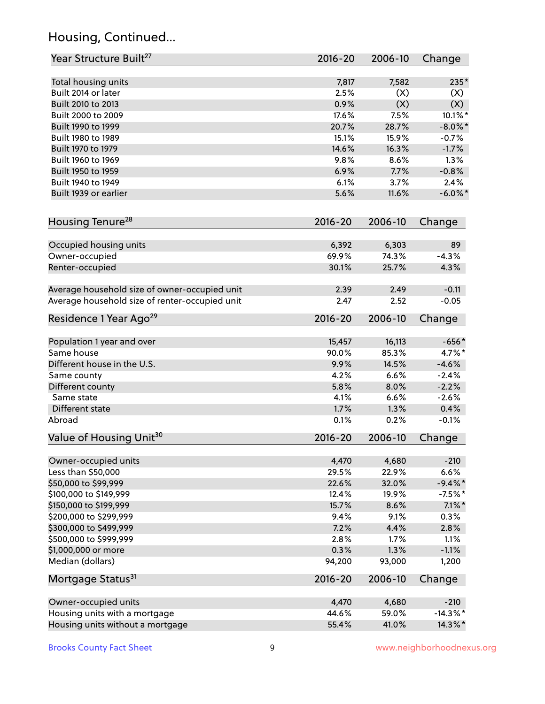# Housing, Continued...

| Year Structure Built <sup>27</sup>             | 2016-20     | 2006-10 | Change       |
|------------------------------------------------|-------------|---------|--------------|
| Total housing units                            | 7,817       | 7,582   | $235*$       |
| Built 2014 or later                            | 2.5%        | (X)     | (X)          |
| Built 2010 to 2013                             | 0.9%        | (X)     | (X)          |
| Built 2000 to 2009                             | 17.6%       | 7.5%    | $10.1\%$ *   |
| Built 1990 to 1999                             | 20.7%       | 28.7%   | $-8.0\%$ *   |
| Built 1980 to 1989                             | 15.1%       | 15.9%   | $-0.7%$      |
| Built 1970 to 1979                             | 14.6%       | 16.3%   | $-1.7%$      |
| Built 1960 to 1969                             | 9.8%        | 8.6%    | 1.3%         |
| Built 1950 to 1959                             | 6.9%        | 7.7%    | $-0.8%$      |
| Built 1940 to 1949                             | 6.1%        | 3.7%    | 2.4%         |
| Built 1939 or earlier                          | 5.6%        | 11.6%   | $-6.0\%$ *   |
|                                                |             |         |              |
| Housing Tenure <sup>28</sup>                   | $2016 - 20$ | 2006-10 | Change       |
| Occupied housing units                         | 6,392       | 6,303   | 89           |
| Owner-occupied                                 | 69.9%       | 74.3%   | $-4.3%$      |
| Renter-occupied                                | 30.1%       | 25.7%   | 4.3%         |
|                                                |             |         |              |
| Average household size of owner-occupied unit  | 2.39        | 2.49    | $-0.11$      |
| Average household size of renter-occupied unit | 2.47        | 2.52    | $-0.05$      |
| Residence 1 Year Ago <sup>29</sup>             | 2016-20     | 2006-10 | Change       |
|                                                |             |         |              |
| Population 1 year and over<br>Same house       | 15,457      | 16,113  | $-656*$      |
|                                                | 90.0%       | 85.3%   | 4.7%*        |
| Different house in the U.S.                    | 9.9%        | 14.5%   | $-4.6%$      |
| Same county                                    | 4.2%        | 6.6%    | $-2.4%$      |
| Different county                               | 5.8%        | 8.0%    | $-2.2%$      |
| Same state                                     | 4.1%        | 6.6%    | $-2.6%$      |
| Different state                                | 1.7%        | 1.3%    | 0.4%         |
| Abroad                                         | 0.1%        | 0.2%    | $-0.1%$      |
| Value of Housing Unit <sup>30</sup>            | $2016 - 20$ | 2006-10 | Change       |
| Owner-occupied units                           | 4,470       | 4,680   | $-210$       |
| Less than \$50,000                             | 29.5%       | 22.9%   | 6.6%         |
| \$50,000 to \$99,999                           | 22.6%       | 32.0%   | $-9.4\%$ *   |
| \$100,000 to \$149,999                         | 12.4%       | 19.9%   | $-7.5%$ *    |
| \$150,000 to \$199,999                         | 15.7%       | 8.6%    | $7.1\%$ *    |
| \$200,000 to \$299,999                         | 9.4%        | 9.1%    | 0.3%         |
| \$300,000 to \$499,999                         | 7.2%        | 4.4%    |              |
|                                                | 2.8%        | 1.7%    | 2.8%<br>1.1% |
| \$500,000 to \$999,999                         | 0.3%        | 1.3%    | $-1.1%$      |
| \$1,000,000 or more<br>Median (dollars)        | 94,200      | 93,000  | 1,200        |
|                                                |             |         |              |
| Mortgage Status <sup>31</sup>                  | 2016-20     | 2006-10 | Change       |
| Owner-occupied units                           | 4,470       | 4,680   | $-210$       |
| Housing units with a mortgage                  | 44.6%       | 59.0%   | $-14.3\%$ *  |
| Housing units without a mortgage               | 55.4%       | 41.0%   | 14.3%*       |
|                                                |             |         |              |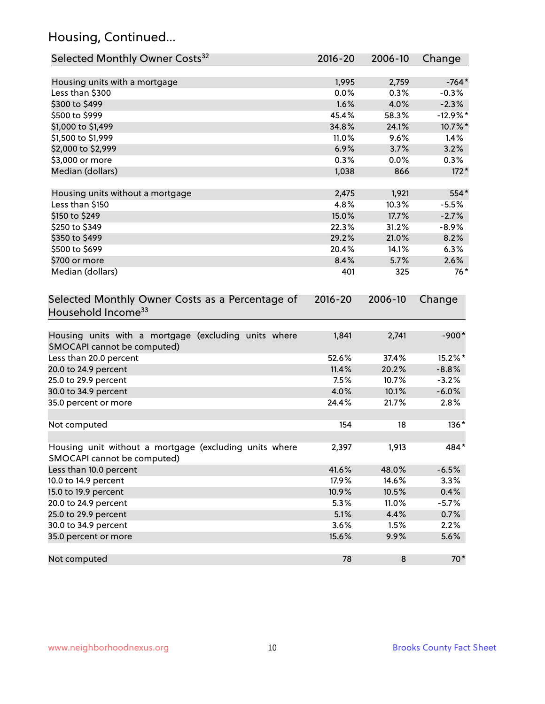# Housing, Continued...

| Selected Monthly Owner Costs <sup>32</sup>                                            | 2016-20     | 2006-10 | Change     |
|---------------------------------------------------------------------------------------|-------------|---------|------------|
| Housing units with a mortgage                                                         | 1,995       | 2,759   | $-764*$    |
| Less than \$300                                                                       | 0.0%        | 0.3%    | $-0.3%$    |
| \$300 to \$499                                                                        | 1.6%        | 4.0%    | $-2.3%$    |
| \$500 to \$999                                                                        | 45.4%       | 58.3%   | $-12.9%$ * |
| \$1,000 to \$1,499                                                                    | 34.8%       | 24.1%   | 10.7%*     |
| \$1,500 to \$1,999                                                                    | 11.0%       | 9.6%    | 1.4%       |
| \$2,000 to \$2,999                                                                    | 6.9%        | 3.7%    | 3.2%       |
| \$3,000 or more                                                                       | 0.3%        | 0.0%    | 0.3%       |
| Median (dollars)                                                                      | 1,038       | 866     | $172*$     |
| Housing units without a mortgage                                                      | 2,475       | 1,921   | 554*       |
| Less than \$150                                                                       | 4.8%        | 10.3%   | $-5.5%$    |
| \$150 to \$249                                                                        | 15.0%       | 17.7%   | $-2.7%$    |
| \$250 to \$349                                                                        | 22.3%       | 31.2%   | $-8.9%$    |
| \$350 to \$499                                                                        | 29.2%       | 21.0%   | 8.2%       |
| \$500 to \$699                                                                        | 20.4%       | 14.1%   | 6.3%       |
| \$700 or more                                                                         | 8.4%        | 5.7%    | 2.6%       |
| Median (dollars)                                                                      | 401         | 325     | $76*$      |
| Selected Monthly Owner Costs as a Percentage of<br>Household Income <sup>33</sup>     | $2016 - 20$ | 2006-10 | Change     |
| Housing units with a mortgage (excluding units where<br>SMOCAPI cannot be computed)   | 1,841       | 2,741   | $-900*$    |
| Less than 20.0 percent                                                                | 52.6%       | 37.4%   | 15.2%*     |
| 20.0 to 24.9 percent                                                                  | 11.4%       | 20.2%   | $-8.8%$    |
| 25.0 to 29.9 percent                                                                  | 7.5%        | 10.7%   | $-3.2%$    |
| 30.0 to 34.9 percent                                                                  | 4.0%        | 10.1%   | $-6.0\%$   |
| 35.0 percent or more                                                                  | 24.4%       | 21.7%   | 2.8%       |
| Not computed                                                                          | 154         | 18      | $136*$     |
| Housing unit without a mortgage (excluding units where<br>SMOCAPI cannot be computed) | 2,397       | 1,913   | $484*$     |
| Less than 10.0 percent                                                                | 41.6%       | 48.0%   | $-6.5%$    |
| 10.0 to 14.9 percent                                                                  | 17.9%       | 14.6%   | 3.3%       |
| 15.0 to 19.9 percent                                                                  | 10.9%       | 10.5%   | 0.4%       |
| 20.0 to 24.9 percent                                                                  | 5.3%        | 11.0%   | $-5.7%$    |
| 25.0 to 29.9 percent                                                                  | 5.1%        | 4.4%    | 0.7%       |
| 30.0 to 34.9 percent                                                                  | 3.6%        | 1.5%    | 2.2%       |
| 35.0 percent or more                                                                  | 15.6%       | 9.9%    | 5.6%       |
| Not computed                                                                          | 78          | 8       | $70*$      |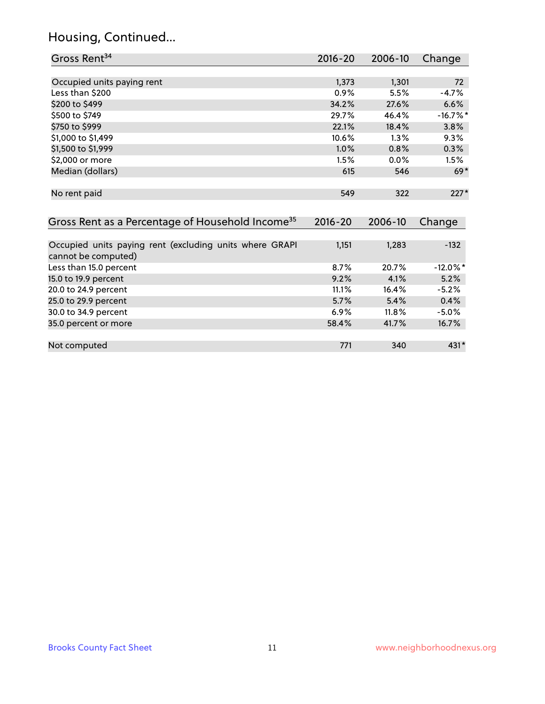# Housing, Continued...

| 2016-20     | $2006 - 10$ | Change      |
|-------------|-------------|-------------|
|             |             |             |
| 1,373       | 1,301       | 72          |
| 0.9%        | 5.5%        | $-4.7%$     |
| 34.2%       | 27.6%       | 6.6%        |
| 29.7%       | 46.4%       | $-16.7%$ *  |
| 22.1%       | 18.4%       | 3.8%        |
| 10.6%       | 1.3%        | 9.3%        |
| 1.0%        | 0.8%        | 0.3%        |
| 1.5%        | 0.0%        | 1.5%        |
| 615         | 546         | $69*$       |
| 549         | 322         | $227*$      |
| $2016 - 20$ | 2006-10     | Change      |
| 1,151       | 1,283       | $-132$      |
| 8.7%        | 20.7%       | $-12.0\%$ * |
| 9.2%        | 4.1%        | 5.2%        |
| 11.1%       | 16.4%       | $-5.2%$     |
| 5.7%        | 5.4%        | 0.4%        |
| 6.9%        | 11.8%       | $-5.0%$     |
| 58.4%       | 41.7%       | 16.7%       |
|             |             |             |

Not computed and the set of the set of the set of the set of the set of the set of the set of the set of the set of the set of the set of the set of the set of the set of the set of the set of the set of the set of the set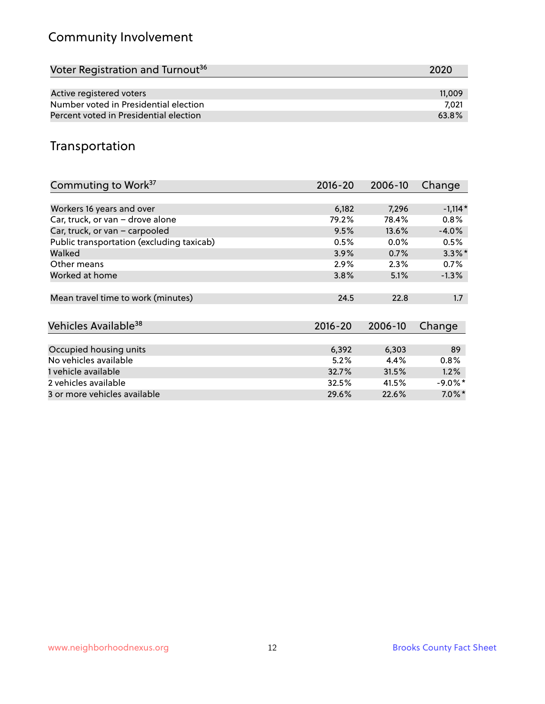# Community Involvement

| Voter Registration and Turnout <sup>36</sup> | 2020   |
|----------------------------------------------|--------|
|                                              |        |
| Active registered voters                     | 11,009 |
| Number voted in Presidential election        | 7.021  |
| Percent voted in Presidential election       | 63.8%  |

## Transportation

| Commuting to Work <sup>37</sup>           | $2016 - 20$ | 2006-10 | Change     |
|-------------------------------------------|-------------|---------|------------|
|                                           |             |         |            |
| Workers 16 years and over                 | 6,182       | 7,296   | $-1,114*$  |
| Car, truck, or van - drove alone          | 79.2%       | 78.4%   | 0.8%       |
| Car, truck, or van - carpooled            | 9.5%        | 13.6%   | $-4.0%$    |
| Public transportation (excluding taxicab) | 0.5%        | 0.0%    | 0.5%       |
| Walked                                    | 3.9%        | 0.7%    | $3.3\%$ *  |
| Other means                               | 2.9%        | 2.3%    | 0.7%       |
| Worked at home                            | 3.8%        | 5.1%    | $-1.3%$    |
|                                           |             |         |            |
| Mean travel time to work (minutes)        | 24.5        | 22.8    | 1.7        |
|                                           |             |         |            |
| Vehicles Available <sup>38</sup>          | $2016 - 20$ | 2006-10 | Change     |
|                                           |             |         |            |
| Occupied housing units                    | 6,392       | 6,303   | 89         |
| No vehicles available                     | 5.2%        | 4.4%    | 0.8%       |
| 1 vehicle available                       | 32.7%       | 31.5%   | 1.2%       |
| 2 vehicles available                      | 32.5%       | 41.5%   | $-9.0\%$ * |
| 3 or more vehicles available              | 29.6%       | 22.6%   | $7.0\%$ *  |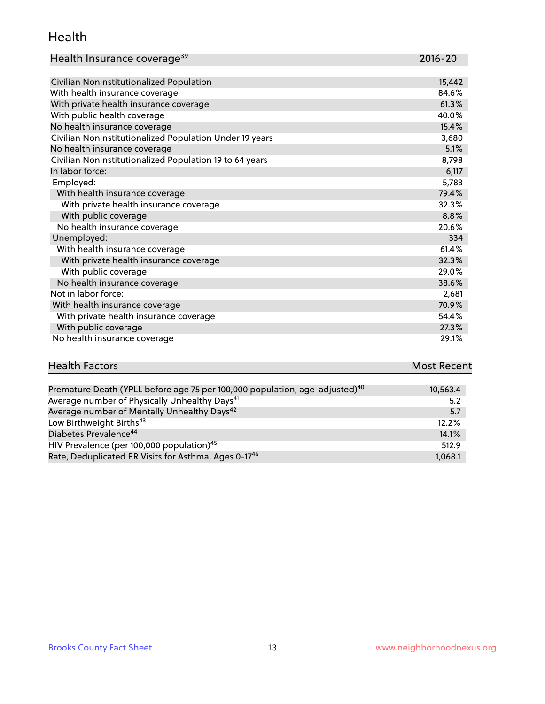#### Health

| Health Insurance coverage <sup>39</sup> | 2016-20 |
|-----------------------------------------|---------|
|-----------------------------------------|---------|

| Civilian Noninstitutionalized Population                | 15,442 |
|---------------------------------------------------------|--------|
| With health insurance coverage                          | 84.6%  |
| With private health insurance coverage                  | 61.3%  |
| With public health coverage                             | 40.0%  |
| No health insurance coverage                            | 15.4%  |
| Civilian Noninstitutionalized Population Under 19 years | 3,680  |
| No health insurance coverage                            | 5.1%   |
| Civilian Noninstitutionalized Population 19 to 64 years | 8,798  |
| In labor force:                                         | 6,117  |
| Employed:                                               | 5,783  |
| With health insurance coverage                          | 79.4%  |
| With private health insurance coverage                  | 32.3%  |
| With public coverage                                    | 8.8%   |
| No health insurance coverage                            | 20.6%  |
| Unemployed:                                             | 334    |
| With health insurance coverage                          | 61.4%  |
| With private health insurance coverage                  | 32.3%  |
| With public coverage                                    | 29.0%  |
| No health insurance coverage                            | 38.6%  |
| Not in labor force:                                     | 2,681  |
| With health insurance coverage                          | 70.9%  |
| With private health insurance coverage                  | 54.4%  |
| With public coverage                                    | 27.3%  |
| No health insurance coverage                            | 29.1%  |

| <b>Health Factors</b> |  |                     |  |  |  |  | <b>Most Recent</b> |          |  |                                                                                 |  |  |
|-----------------------|--|---------------------|--|--|--|--|--------------------|----------|--|---------------------------------------------------------------------------------|--|--|
|                       |  |                     |  |  |  |  |                    |          |  |                                                                                 |  |  |
|                       |  | _ _ _ _ _ _ _ _ _ _ |  |  |  |  |                    | $\cdots$ |  | the contract of the contract of the contract of the contract of the contract of |  |  |

| Premature Death (YPLL before age 75 per 100,000 population, age-adjusted) <sup>40</sup> |         |  |  |
|-----------------------------------------------------------------------------------------|---------|--|--|
| Average number of Physically Unhealthy Days <sup>41</sup>                               | 5.2     |  |  |
| Average number of Mentally Unhealthy Days <sup>42</sup>                                 | 5.7     |  |  |
| Low Birthweight Births <sup>43</sup>                                                    | 12.2%   |  |  |
| Diabetes Prevalence <sup>44</sup>                                                       | 14.1%   |  |  |
| HIV Prevalence (per 100,000 population) <sup>45</sup>                                   | 512.9   |  |  |
| Rate, Deduplicated ER Visits for Asthma, Ages 0-17 <sup>46</sup>                        | 1,068.1 |  |  |